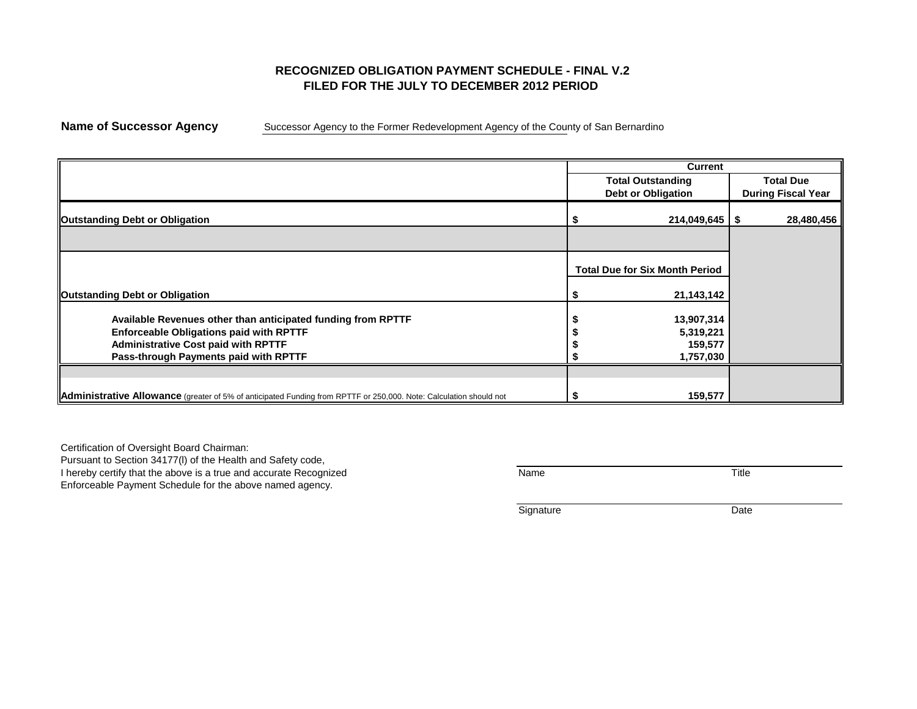## **RECOGNIZED OBLIGATION PAYMENT SCHEDULE - FINAL V.2 FILED FOR THE JULY TO DECEMBER 2012 PERIOD**

**Name of Successor Agency** Successor Agency to the Former Redevelopment Agency of the County of San Bernardino

|                                                                                                                    | <b>Current</b>                        |                           |
|--------------------------------------------------------------------------------------------------------------------|---------------------------------------|---------------------------|
|                                                                                                                    | <b>Total Outstanding</b>              | <b>Total Due</b>          |
|                                                                                                                    | <b>Debt or Obligation</b>             | <b>During Fiscal Year</b> |
| <b>Outstanding Debt or Obligation</b>                                                                              | $214,049,645$   \$                    | 28,480,456                |
|                                                                                                                    |                                       |                           |
|                                                                                                                    | <b>Total Due for Six Month Period</b> |                           |
| <b>Outstanding Debt or Obligation</b>                                                                              | 21,143,142                            |                           |
| Available Revenues other than anticipated funding from RPTTF                                                       | 13,907,314                            |                           |
| <b>Enforceable Obligations paid with RPTTF</b><br><b>Administrative Cost paid with RPTTF</b>                       | 5,319,221<br>159,577                  |                           |
| Pass-through Payments paid with RPTTF                                                                              | 1,757,030                             |                           |
|                                                                                                                    |                                       |                           |
| Administrative Allowance (greater of 5% of anticipated Funding from RPTTF or 250,000. Note: Calculation should not | 159,577                               |                           |

Certification of Oversight Board Chairman: Pursuant to Section 34177(l) of the Health and Safety code,

I hereby certify that the above is a true and accurate Recognized Thereby certify that the above is a true and accurate Recognized

Enforceable Payment Schedule for the above named agency.

| ıme | THE.<br>itle<br>_____ |
|-----|-----------------------|
|     |                       |

Signature Date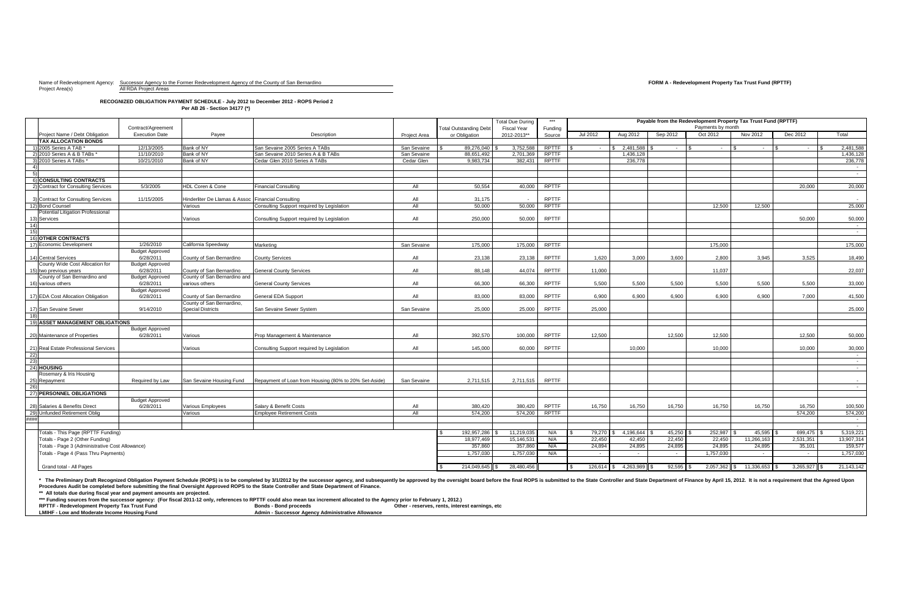Project Area(s) Maintenance All RDA Project Areas

# Name of Redevelopment Agency: Successor Agency to the Former Redevelopment Agency of the County of San Bernardino **FORM A - Redevelopment Property Tax Trust Fund (RPTTF)**

### **RECOGNIZED OBLIGATION PAYMENT SCHEDULE - July 2012 to December 2012 - ROPS Period 2 Per AB 26 - Section 34177 (\*)**

**\*\*\* Funding sources from the successor agency: (For fiscal 2011-12 only, references to RPTTF could also mean tax increment allocated to the Agency prior to February 1, 2012.)** RPTTF - Redevelopment Property Tax Trust Fund **Bonds - Bonds - Bond proceeds Channel Bonds - Bond proceeds** Other - reserves, rents, interest earnings, etc<br>Bonds - Bonds - Bond proceeds **Adminitional Conducts of Adminiti** 

**Admin - Successor Agency Administrative Allowance** 

|                  |                                                 |                        |                                                    |                                                       |                     |                               | <b>Total Due During</b> | $***$        | Payable from the Redevelopment Property Tax Trust Fund (RPTTF) |                           |             |           |                              |                |                  |
|------------------|-------------------------------------------------|------------------------|----------------------------------------------------|-------------------------------------------------------|---------------------|-------------------------------|-------------------------|--------------|----------------------------------------------------------------|---------------------------|-------------|-----------|------------------------------|----------------|------------------|
|                  |                                                 | Contract/Agreement     |                                                    |                                                       |                     | <b>Total Outstanding Debt</b> | <b>Fiscal Year</b>      | Funding      | Payments by month                                              |                           |             |           |                              |                |                  |
|                  | Project Name / Debt Obligation                  | <b>Execution Date</b>  | Payee                                              | Description                                           | <b>Project Area</b> | or Obligation                 | 2012-2013**             | Source       | Jul 2012                                                       | Aug 2012                  | Sep 2012    | Oct 2012  | Nov 2012                     | Dec 2012       | Total            |
|                  | <b>TAX ALLOCATION BONDS</b>                     |                        |                                                    |                                                       |                     |                               |                         |              |                                                                |                           |             |           |                              |                |                  |
|                  | 1) 2005 Series A TAB *                          | 12/13/2005             | Bank of NY                                         | San Sevaine 2005 Series A TABs                        | San Sevaine         | 89,276,040                    | 3,752,588               | <b>RPTTF</b> |                                                                | 2,481,588                 | $\sim$      |           |                              | $\sim$         | 2,481,588        |
|                  | 2) 2010 Series A & B TABs *                     | 11/10/2010             | Bank of NY                                         | San Sevaine 2010 Series A & B TABs                    | San Sevaine         | 88,651,492                    | 2,701,369               | <b>RPTTF</b> |                                                                | 1,436,128                 |             |           |                              |                | 1,436,128        |
|                  | 3) 2010 Series A TABs $*$                       | 10/21/2010             | Bank of NY                                         | Cedar Glen 2010 Series A TABs                         | Cedar Glen          | 9,983,734                     | 382,431                 | <b>RPTTF</b> |                                                                | 236,778                   |             |           |                              |                | 236,778          |
|                  |                                                 |                        |                                                    |                                                       |                     |                               |                         |              |                                                                |                           |             |           |                              |                | $\sim$ $-$       |
|                  |                                                 |                        |                                                    |                                                       |                     |                               |                         |              |                                                                |                           |             |           |                              |                | $\sim 100$       |
|                  | 6) CONSULTING CONTRACTS                         |                        |                                                    |                                                       |                     |                               |                         |              |                                                                |                           |             |           |                              |                |                  |
|                  | 2) Contract for Consulting Services             | 5/3/2005               | HDL Coren & Cone                                   | <b>Financial Consulting</b>                           | All                 | 50,554                        | 40,000                  | <b>RPTTF</b> |                                                                |                           |             |           |                              | 20,000         | 20,000           |
|                  |                                                 |                        |                                                    |                                                       |                     |                               |                         |              |                                                                |                           |             |           |                              |                |                  |
|                  | 3) Contract for Consulting Services             | 11/15/2005             | Hinderliter De Llamas & Assoc Financial Consulting |                                                       | All                 | 31,175                        |                         | <b>RPTTF</b> |                                                                |                           |             |           |                              |                | $\sim$ $-$       |
|                  | 12) Bond Counsel                                |                        | Various                                            | Consulting Support required by Legislation            | All                 | 50,000                        | 50,000                  | <b>RPTTF</b> |                                                                |                           |             | 12,500    | 12,500                       |                | 25,000           |
|                  | Potential Litigation Professional               |                        |                                                    |                                                       |                     |                               |                         |              |                                                                |                           |             |           |                              |                |                  |
|                  | 13) Services                                    |                        | Various                                            | Consulting Support required by Legislation            | All                 | 250,000                       | 50,000                  | <b>RPTTF</b> |                                                                |                           |             |           |                              | 50,000         | 50,000           |
| 14               |                                                 |                        |                                                    |                                                       |                     |                               |                         |              |                                                                |                           |             |           |                              |                | $\sim$ $-$       |
| 15)              | 16) OTHER CONTRACTS                             |                        |                                                    |                                                       |                     |                               |                         |              |                                                                |                           |             |           |                              |                | $\sim$ $-$       |
|                  | 17) Economic Development                        | 1/26/2010              | California Speedway                                | Marketing                                             | San Sevaine         | 175,000                       | 175,000                 | <b>RPTTF</b> |                                                                |                           |             | 175,000   |                              |                | 175,000          |
|                  |                                                 | <b>Budget Approved</b> |                                                    |                                                       |                     |                               |                         |              |                                                                |                           |             |           |                              |                |                  |
|                  | 14) Central Services                            | 6/28/2011              | County of San Bernardino                           | <b>County Services</b>                                | All                 | 23,138                        | 23,138                  | <b>RPTTF</b> | 1,620                                                          | 3,000                     | 3,600       | 2,800     | 3,945                        | 3,525          | 18,490           |
|                  | County Wide Cost Allocation for                 | <b>Budget Approved</b> |                                                    |                                                       |                     |                               |                         |              |                                                                |                           |             |           |                              |                |                  |
|                  | 15) two previous years                          | 6/28/2011              | County of San Bernardino                           | <b>General County Services</b>                        | All                 | 88,148                        | 44,074                  | <b>RPTTF</b> | 11,000                                                         |                           |             | 11,037    |                              |                | 22,037           |
|                  | County of San Bernardino and                    | <b>Budget Approved</b> | County of San Bernardino and                       |                                                       |                     |                               |                         |              |                                                                |                           |             |           |                              |                |                  |
|                  | 16) various others                              | 6/28/2011              | various others                                     | <b>General County Services</b>                        | All                 | 66,300                        | 66,300                  | <b>RPTTF</b> | 5,500                                                          | 5,500                     | 5,500       | 5,500     | 5,500                        | 5,500          | 33,000           |
|                  |                                                 | <b>Budget Approved</b> |                                                    |                                                       |                     |                               |                         |              |                                                                |                           |             |           |                              |                |                  |
|                  | 17) EDA Cost Allocation Obligation              | 6/28/2011              | County of San Bernardino                           | <b>General EDA Support</b>                            | All                 | 83,000                        | 83,000                  | <b>RPTTF</b> | 6,900                                                          | 6,900                     | 6,900       | 6,900     | 6,900                        | 7,000          | 41,500           |
|                  |                                                 |                        | County of San Bernardino,                          |                                                       |                     |                               |                         |              |                                                                |                           |             |           |                              |                |                  |
|                  | 17) San Sevaine Sewer                           | 9/14/2010              | <b>Special Districts</b>                           | San Sevaine Sewer System                              | San Sevaine         | 25,000                        | 25,000                  | <b>RPTTF</b> | 25,000                                                         |                           |             |           |                              |                | 25,000           |
|                  |                                                 |                        |                                                    |                                                       |                     |                               |                         |              |                                                                |                           |             |           |                              |                |                  |
|                  | <b>ASSET MANAGEMENT OBLIGATIONS</b>             |                        |                                                    |                                                       |                     |                               |                         |              |                                                                |                           |             |           |                              |                |                  |
|                  |                                                 | <b>Budget Approved</b> |                                                    |                                                       |                     |                               |                         |              |                                                                |                           |             |           |                              |                |                  |
|                  | 20) Maintenance of Properties                   | 6/28/2011              | Various                                            | Prop Management & Maintenance                         | All                 | 392,570                       | 100,000                 | <b>RPTTF</b> | 12,500                                                         |                           | 12,500      | 12,500    |                              | 12,500         | 50,000           |
|                  |                                                 |                        |                                                    |                                                       |                     |                               |                         |              |                                                                |                           |             |           |                              |                |                  |
|                  | 21) Real Estate Professional Services           |                        | Various                                            | Consulting Support required by Legislation            | All                 | 145,000                       | 60,000                  | <b>RPTTF</b> |                                                                | 10,000                    |             | 10,000    |                              | 10,000         | 30,000           |
| (22)             |                                                 |                        |                                                    |                                                       |                     |                               |                         |              |                                                                |                           |             |           |                              |                | $\sim$ $-$       |
| $\overline{23)}$ |                                                 |                        |                                                    |                                                       |                     |                               |                         |              |                                                                |                           |             |           |                              |                | $\sim$ 100 $\mu$ |
|                  | 24) HOUSING                                     |                        |                                                    |                                                       |                     |                               |                         |              |                                                                |                           |             |           |                              |                | $\sim 10^{-11}$  |
|                  | Rosemary & Iris Housing                         |                        |                                                    |                                                       |                     |                               |                         |              |                                                                |                           |             |           |                              |                |                  |
|                  | 25) Repayment                                   | Required by Law        | San Sevaine Housing Fund                           | Repayment of Loan from Housing (80% to 20% Set-Aside) | San Sevaine         | 2,711,515                     | 2,711,515               | <b>RPTTF</b> |                                                                |                           |             |           |                              |                | $\sim$ $-$       |
| 26)              |                                                 |                        |                                                    |                                                       |                     |                               |                         |              |                                                                |                           |             |           |                              |                | $\sim 100$       |
|                  | 27) PERSONNEL OBLIGATIONS                       |                        |                                                    |                                                       |                     |                               |                         |              |                                                                |                           |             |           |                              |                |                  |
|                  |                                                 | <b>Budget Approved</b> |                                                    |                                                       |                     |                               |                         |              |                                                                |                           |             |           |                              |                |                  |
|                  | 28) Salaries & Benefits Direct                  | 6/28/2011              | Various Employees                                  | Salary & Benefit Costs                                | All                 | 380,420                       | 380,420                 | <b>RPTTF</b> | 16,750                                                         | 16,750                    | 16,750      | 16,750    | 16,750                       | 16,750         | 100,500          |
|                  | 29) Unfunded Retirement Oblig                   |                        | Various                                            | <b>Employee Retirement Costs</b>                      | All                 | 574,200                       | 574,200                 | <b>RPTTF</b> |                                                                |                           |             |           |                              | 574,200        | 574,200          |
| ####             |                                                 |                        |                                                    |                                                       |                     |                               |                         |              |                                                                |                           |             |           |                              |                | $\sim$ $-$       |
|                  |                                                 |                        |                                                    |                                                       |                     |                               |                         |              |                                                                |                           |             |           |                              |                | $\sim 100$       |
|                  | Totals - This Page (RPTTF Funding)              |                        |                                                    |                                                       |                     | 192,957,286                   | 11,219,035              | N/A          | 79,270                                                         | 4,196,644                 | 45,250      | 252,987   | 45,595                       | 699,475        | 5,319,221        |
|                  | Totals - Page 2 (Other Funding)                 |                        |                                                    |                                                       |                     | 18,977,469                    | 15,146,531              | N/A          | 22,450                                                         | 42,450                    | 22,450      | 22,450    | 11,266,163                   | 2,531,351      | 13,907,314       |
|                  | Totals - Page 3 (Administrative Cost Allowance) |                        |                                                    |                                                       |                     | 357,860                       | 357,860                 | N/A          | 24,894                                                         | 24,895                    | 24,895      | 24,895    | 24,895                       | 35,101         | 159,577          |
|                  | Totals - Page 4 (Pass Thru Payments)            |                        |                                                    |                                                       |                     | 1,757,030                     | 1,757,030               | N/A          |                                                                | $\sim$ $-$                | $\sim 100$  | 1,757,030 |                              |                | 1,757,030        |
|                  |                                                 |                        |                                                    |                                                       |                     |                               |                         |              |                                                                |                           |             |           |                              |                |                  |
|                  | Grand total - All Pages                         |                        |                                                    |                                                       |                     | $214,049,645$ \$              | 28,480,456              |              |                                                                | $126,614$ \$ 4,263,989 \$ | $92,595$ \$ |           | $2,057,362$ \$ 11,336,653 \$ | $3,265,927$ \$ | 21,143,142       |

**\*\* All totals due during fiscal year and payment amounts are projected.**  \* The Preliminary Draft Recognized Obligation Payment Schedule (ROPS) is to be completed by 3/1/2012 by the successor agency, and subsequently be approved by the oversight board before the final ROPS is submitted to the St **Procedures Audit be completed before submitting the final Oversight Approved ROPS to the State Controller and State Department of Finance.**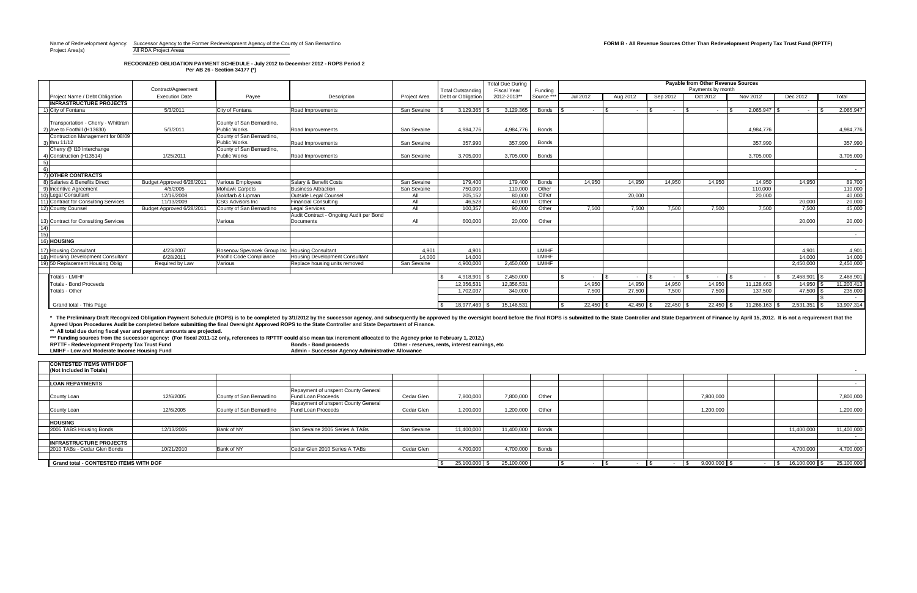**FORM B - All Revenue Sources Other Than Redevelopment Property Tax Trust Fund (RPTTF) FORM B - All Revenue Sources Other Than Redevelopment Property Tax Trust Fund (RPTTF)** Project Area(s) and All RDA Project Areas

**Per AB 26 - Section 34177 (\*) RECOGNIZED OBLIGATION PAYMENT SCHEDULE - July 2012 to December 2012 - ROPS Period 2**

|                  |                                                                        |                           |                                               |                                                                                                                                                                                                                                | <b>Payable from Other Revenue Sources</b><br><b>Total Due During</b> |                                                 |                    |              |                    |             |             |                   |                  |                |            |
|------------------|------------------------------------------------------------------------|---------------------------|-----------------------------------------------|--------------------------------------------------------------------------------------------------------------------------------------------------------------------------------------------------------------------------------|----------------------------------------------------------------------|-------------------------------------------------|--------------------|--------------|--------------------|-------------|-------------|-------------------|------------------|----------------|------------|
|                  |                                                                        | Contract/Agreement        |                                               |                                                                                                                                                                                                                                |                                                                      | <b>Total Outstanding</b>                        | <b>Fiscal Year</b> | Funding      |                    |             |             | Payments by month |                  |                |            |
|                  | Project Name / Debt Obligation                                         | <b>Execution Date</b>     | Payee                                         | Description                                                                                                                                                                                                                    | <b>Project Area</b>                                                  | Debt or Obligation                              | 2012-2013**        | Source **    | Jul 2012           | Aug 2012    | Sep 2012    | Oct 2012          | <b>Nov 2012</b>  | Dec 2012       | Total      |
|                  | <b>INFRASTRUCTURE PROJECTS</b>                                         |                           |                                               |                                                                                                                                                                                                                                |                                                                      |                                                 |                    |              |                    |             |             |                   |                  |                |            |
|                  | 1) City of Fontana                                                     | 5/3/2011                  | City of Fontana                               | Road Improvements                                                                                                                                                                                                              | San Sevaine                                                          | $3,129,365$ \$                                  | 3,129,365          | <b>Bonds</b> | . —                |             | $\sim$      | 1 S<br>$\sim$     | $2,065,947$ \\$  | $\sim$ $-$     | 2,065,947  |
|                  |                                                                        |                           |                                               |                                                                                                                                                                                                                                |                                                                      |                                                 |                    |              |                    |             |             |                   |                  |                |            |
|                  | Transportation - Cherry - Whittram                                     |                           | County of San Bernardino,                     |                                                                                                                                                                                                                                |                                                                      |                                                 |                    |              |                    |             |             |                   |                  |                |            |
|                  | 2) Ave to Foothill (H13630)                                            | 5/3/2011                  | Public Works                                  | Road Improvements                                                                                                                                                                                                              | San Sevaine                                                          | 4,984,776                                       | 4,984,776          | <b>Bonds</b> |                    |             |             |                   | 4,984,776        |                | 4,984,776  |
|                  | Contruction Management for 08/09                                       |                           | County of San Bernardino,                     |                                                                                                                                                                                                                                |                                                                      |                                                 |                    |              |                    |             |             |                   |                  |                |            |
|                  | 3) thru 11/12<br>Cherry @ 110 Interchange                              |                           | Public Works<br>County of San Bernardino,     | <b>Road Improvements</b>                                                                                                                                                                                                       | San Sevaine                                                          | 357,990                                         | 357,990            | <b>Bonds</b> |                    |             |             |                   | 357,990          |                | 357,990    |
|                  | 4) Construction (H13514)                                               | 1/25/2011                 | Public Works                                  | Road Improvements                                                                                                                                                                                                              | San Sevaine                                                          | 3,705,000                                       | 3,705,000          | <b>Bonds</b> |                    |             |             |                   | 3,705,000        |                | 3,705,000  |
| 5)               |                                                                        |                           |                                               |                                                                                                                                                                                                                                |                                                                      |                                                 |                    |              |                    |             |             |                   |                  |                |            |
| 6)               |                                                                        |                           |                                               |                                                                                                                                                                                                                                |                                                                      |                                                 |                    |              |                    |             |             |                   |                  |                | $\sim$ $-$ |
|                  | 7) OTHER CONTRACTS                                                     |                           |                                               |                                                                                                                                                                                                                                |                                                                      |                                                 |                    |              |                    |             |             |                   |                  |                |            |
|                  | 8) Salaries & Benefits Direct                                          | Budget Approved 6/28/2011 | <b>Various Employees</b>                      | Salary & Benefit Costs                                                                                                                                                                                                         | San Sevaine                                                          | 179,400                                         | 179,400            | <b>Bonds</b> | 14,950             | 14,950      | 14,950      | 14,950            | 14,950           | 14,950         | 89,700     |
|                  | 9) Incentive Agreement                                                 | 4/5/2005                  | <b>Mohawk Carpets</b>                         | <b>Business Attraction</b>                                                                                                                                                                                                     | San Sevaine                                                          | 750,000                                         | 110,000            | Other        |                    |             |             |                   | 110,000          |                | 110,000    |
|                  | 10) Legal Consultant                                                   | 12/16/2008                | Goldfarb & Lipman                             | <b>Outside Legal Counsel</b>                                                                                                                                                                                                   | All                                                                  | 205,152                                         | 80,000             | Other        |                    | 20,000      |             |                   | 20,000           |                | 40,000     |
|                  | 11) Contract for Consulting Services                                   | 11/13/2009                | <b>CSG Advisors Inc</b>                       | <b>Financial Consulting</b>                                                                                                                                                                                                    | All                                                                  | 46,528                                          | 40,000             | Other        |                    |             |             |                   |                  | 20,000         | 20,000     |
|                  | 12) County Counsel                                                     | Budget Approved 6/28/2011 | County of San Bernardino                      | <b>Legal Services</b>                                                                                                                                                                                                          | All                                                                  | 100,357                                         | 90,000             | Other        | 7,500              | 7,500       | 7,500       | 7,500             | 7,500            | 7,500          | 45,000     |
|                  |                                                                        |                           |                                               | Audit Contract - Ongoing Audit per Bond                                                                                                                                                                                        |                                                                      |                                                 |                    |              |                    |             |             |                   |                  |                |            |
|                  | 13) Contract for Consulting Services                                   |                           | Various                                       | Documents                                                                                                                                                                                                                      | All                                                                  | 600,000                                         | 20,000             | Other        |                    |             |             |                   |                  | 20,000         | 20,000     |
| (14)             |                                                                        |                           |                                               |                                                                                                                                                                                                                                |                                                                      |                                                 |                    |              |                    |             |             |                   |                  |                |            |
| $\overline{15)}$ |                                                                        |                           |                                               |                                                                                                                                                                                                                                |                                                                      |                                                 |                    |              |                    |             |             |                   |                  |                | $\sim$ $-$ |
|                  | 16) <b>HOUSING</b>                                                     |                           |                                               |                                                                                                                                                                                                                                |                                                                      |                                                 |                    |              |                    |             |             |                   |                  |                |            |
|                  | 17) Housing Consultant                                                 | 4/23/2007                 | Rosenow Spevacek Group Inc Housing Consultant |                                                                                                                                                                                                                                | 4,901                                                                | 4,901                                           |                    | <b>LMIHF</b> |                    |             |             |                   |                  | 4,901          | 4,901      |
|                  | 18) Housing Development Consultant                                     | 6/28/2011                 | Pacific Code Compliance                       | Housing Development Consultant                                                                                                                                                                                                 | 14,000                                                               | 14,000                                          |                    | <b>LMIHF</b> |                    |             |             |                   |                  | 14,000         | 14,000     |
|                  | 19) 50 Replacement Housing Oblig                                       | Required by Law           | Various                                       | Replace housing units removed                                                                                                                                                                                                  | San Sevaine                                                          | 4,900,000                                       | 2,450,000          | <b>LMIHF</b> |                    |             |             |                   |                  | 2,450,000      | 2,450,000  |
|                  |                                                                        |                           |                                               |                                                                                                                                                                                                                                |                                                                      |                                                 |                    |              |                    |             |             |                   |                  |                |            |
|                  | <b>Totals - LMIHF</b>                                                  |                           |                                               |                                                                                                                                                                                                                                |                                                                      | 4,918,901                                       | 2,450,000          |              |                    |             | $\sim$      | $\sim$            | $\sim$ 100 $\mu$ | 2,468,901      | 2,468,901  |
|                  | <b>Totals - Bond Proceeds</b>                                          |                           |                                               |                                                                                                                                                                                                                                |                                                                      | 12,356,531                                      | 12,356,531         |              | 14,950             | 14,950      | 14,950      | 14,950            | 11,128,663       | $14,950$ \ \;  | 11,203,413 |
|                  | Totals - Other                                                         |                           |                                               |                                                                                                                                                                                                                                |                                                                      | 1,702,037                                       | 340,000            |              | 7,500              | 27,500      | 7,500       | 7,500             | 137,500          | $47,500$ \$    | 235,000    |
|                  |                                                                        |                           |                                               |                                                                                                                                                                                                                                |                                                                      |                                                 |                    |              |                    |             |             |                   |                  |                |            |
|                  | Grand total - This Page                                                |                           |                                               |                                                                                                                                                                                                                                |                                                                      | 18,977,469 \$                                   | 15,146,531         |              | $22,450$ \$<br>-\$ | $42,450$ \$ | $22,450$ \$ | $22,450$ \$       | $11,266,163$ \$  | $2,531,351$ \$ | 13,907,314 |
|                  |                                                                        |                           |                                               |                                                                                                                                                                                                                                |                                                                      |                                                 |                    |              |                    |             |             |                   |                  |                |            |
|                  |                                                                        |                           |                                               | The Preliminary Draft Recognized Obligation Payment Schedule (ROPS) is to be completed by 3/1/2012 by the successor agency, and subsequently be approved by the oversight board before the final ROPS is submitted to the Stat |                                                                      |                                                 |                    |              |                    |             |             |                   |                  |                |            |
|                  |                                                                        |                           |                                               | Agreed Upon Procedures Audit be completed before submitting the final Oversight Approved ROPS to the State Controller and State Department of Finance.                                                                         |                                                                      |                                                 |                    |              |                    |             |             |                   |                  |                |            |
|                  | ** All total due during fiscal year and payment amounts are projected. |                           |                                               |                                                                                                                                                                                                                                |                                                                      |                                                 |                    |              |                    |             |             |                   |                  |                |            |
|                  |                                                                        |                           |                                               | *** Funding sources from the successor agency: (For fiscal 2011-12 only, references to RPTTF could also mean tax increment allocated to the Agency prior to February 1, 2012.)                                                 |                                                                      |                                                 |                    |              |                    |             |             |                   |                  |                |            |
|                  | RPTTF - Redevelopment Property Tax Trust Fund                          |                           |                                               | <b>Bonds - Bond proceeds</b>                                                                                                                                                                                                   |                                                                      | Other - reserves, rents, interest earnings, etc |                    |              |                    |             |             |                   |                  |                |            |
|                  | <b>LMIHF - Low and Moderate Income Housing Fund</b>                    |                           |                                               | Admin - Successor Agency Administrative Allowance                                                                                                                                                                              |                                                                      |                                                 |                    |              |                    |             |             |                   |                  |                |            |
|                  |                                                                        |                           |                                               |                                                                                                                                                                                                                                |                                                                      |                                                 |                    |              |                    |             |             |                   |                  |                |            |
|                  | <b>CONTESTED ITEMS WITH DOF</b>                                        |                           |                                               |                                                                                                                                                                                                                                |                                                                      |                                                 |                    |              |                    |             |             |                   |                  |                |            |
|                  | (Not Included in Totals)                                               |                           |                                               |                                                                                                                                                                                                                                |                                                                      |                                                 |                    |              |                    |             |             |                   |                  |                |            |

| Repayment of unspent County General |             |                 |            |              |  |                |                         |            |
|-------------------------------------|-------------|-----------------|------------|--------------|--|----------------|-------------------------|------------|
| <b>Fund Loan Proceeds</b>           | Cedar Glen  | 7,800,000       | 7,800,000  | Other        |  | 7,800,000      |                         | 7,800,000  |
| Repayment of unspent County General |             |                 |            |              |  |                |                         |            |
| <b>Fund Loan Proceeds</b>           | Cedar Glen  | 1,200,000       | 1,200,000  | Other        |  | 1,200,000      |                         | 1,200,000  |
|                                     |             |                 |            |              |  |                |                         |            |
|                                     |             |                 |            |              |  |                |                         |            |
| San Sevaine 2005 Series A TABs      | San Sevaine | 11,400,000      | 11,400,000 | <b>Bonds</b> |  |                | 11,400,000              | 11,400,000 |
|                                     |             |                 |            |              |  |                |                         |            |
|                                     |             |                 |            |              |  |                |                         |            |
| Cedar Glen 2010 Series A TABs       | Cedar Glen  | 4,700,000       | 4,700,000  | <b>Bonds</b> |  |                | 4,700,000               | 4,700,000  |
|                                     |             |                 |            |              |  |                |                         |            |
|                                     |             | $25,100,000$ \$ | 25,100,000 |              |  | $9,000,000$ \$ | $16,100,000$ \$<br>- 35 | 25,100,000 |

| _______________________________               |            |                          |                                                                  |             |                 |            |              |  |                       |                       |            |
|-----------------------------------------------|------------|--------------------------|------------------------------------------------------------------|-------------|-----------------|------------|--------------|--|-----------------------|-----------------------|------------|
| (Not Included in Totals)                      |            |                          |                                                                  |             |                 |            |              |  |                       |                       |            |
|                                               |            |                          |                                                                  |             |                 |            |              |  |                       |                       |            |
| <b>LOAN REPAYMENTS</b>                        |            |                          |                                                                  |             |                 |            |              |  |                       |                       |            |
| <b>County Loan</b>                            | 12/6/2005  | County of San Bernardino | Repayment of unspent County General<br><b>Fund Loan Proceeds</b> | Cedar Glen  | 7,800,000       | 7,800,000  | Other        |  | 7,800,000             |                       | 7,800,000  |
| County Loan                                   | 12/6/2005  | County of San Bernardino | Repayment of unspent County General<br><b>Fund Loan Proceeds</b> | Cedar Glen  | 1,200,000       | 1,200,000  | Other        |  | 1,200,000             |                       | 1,200,000  |
| <b>HOUSING</b>                                |            |                          |                                                                  |             |                 |            |              |  |                       |                       |            |
| 2005 TABS Housing Bonds                       | 12/13/2005 | Bank of NY               | San Sevaine 2005 Series A TABs                                   | San Sevaine | 11,400,000      | 11,400,000 | <b>Bonds</b> |  |                       | 11,400,000            | 11,400,000 |
| <b>INFRASTRUCTURE PROJECTS</b>                |            |                          |                                                                  |             |                 |            |              |  |                       |                       |            |
| 2010 TABs - Cedar Glen Bonds                  | 10/21/2010 | Bank of NY               | Cedar Glen 2010 Series A TABs                                    | Cedar Glen  | 4,700,000       | 4,700,000  | <b>Bonds</b> |  |                       | 4,700,000             | 4,700,000  |
|                                               |            |                          |                                                                  |             |                 |            |              |  |                       |                       |            |
| <b>Grand total - CONTESTED ITEMS WITH DOF</b> |            |                          |                                                                  |             | $25,100,000$ \$ | 25,100,000 |              |  | $9,000,000$ \$<br>∎ ა | 16,100,000 \$<br>I \$ | 25,100,000 |
|                                               |            |                          |                                                                  |             |                 |            |              |  |                       |                       |            |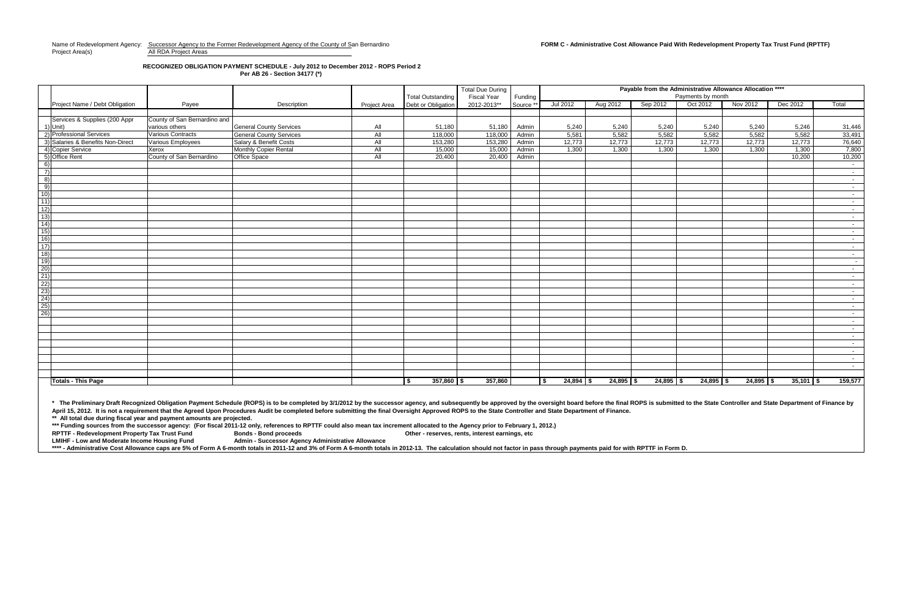Name of Redevelopment Agency: Successor Agency to the Former Redevelopment Agency of the County of San Bernardino **FORM C - Administrative Cost Allowance Paid With Redevelopment Property Tax Trust Fund (RPTTF)** Project Area(s) and All RDA Project Areas

### **RECOGNIZED OBLIGATION PAYMENT SCHEDULE - July 2012 to December 2012 - ROPS Period 2 Per AB 26 - Section 34177 (\*)**

**\*\* All total due during fiscal year and payment amounts are projected.**  \* The Preliminary Draft Recognized Obligation Payment Schedule (ROPS) is to be completed by 3/1/2012 by the successor agency, and subsequently be approved by the oversight board before the final ROPS is submitted to the St April 15, 2012. It is not a requirement that the Agreed Upon Procedures Audit be completed before submitting the final Oversight Approved ROPS to the State Controller and State Department of Finance.

\*\*\* Funding sources from the successor agency: (For fiscal 2011-12 only, references to RPTTF could also mean tax increment allocated to the Agency prior to February 1, 2012.) **RPTTF - Redevelopment Property Tax Trust Fund Bonds - Bond proceeds Other - reserves, rents, interest earnings, etc**

**Admin - Successor Agency Administrative Allowance** 

\*\*\*\* - Administrative Cost Allowance caps are 5% of Form A 6-month totals in 2011-12 and 3% of Form A 6-month totals in 2012-13. The calculation should not factor in pass through payments paid for with RPTTF in Form D.

|                                                                                         |                                   |                              |                                |              | <b>Total Outstanding</b> | <b>Total Due During</b><br><b>Fiscal Year</b> | Funding  | Payable from the Administrative Allowance Allocation ****<br>Payments by month |             |             |             |             |             |                 |  |  |
|-----------------------------------------------------------------------------------------|-----------------------------------|------------------------------|--------------------------------|--------------|--------------------------|-----------------------------------------------|----------|--------------------------------------------------------------------------------|-------------|-------------|-------------|-------------|-------------|-----------------|--|--|
|                                                                                         | Project Name / Debt Obligation    | Payee                        | Description                    | Project Area | Debt or Obligation       | 2012-2013**                                   | Source * | Jul 2012                                                                       | Aug 2012    | Sep 2012    | Oct 2012    | Nov 2012    | Dec 2012    | Total           |  |  |
|                                                                                         |                                   |                              |                                |              |                          |                                               |          |                                                                                |             |             |             |             |             |                 |  |  |
|                                                                                         | Services & Supplies (200 Appr     | County of San Bernardino and |                                |              |                          |                                               |          |                                                                                |             |             |             |             |             |                 |  |  |
|                                                                                         | $1)$ Unit)                        | various others               | <b>General County Services</b> | All          | 51,180                   | 51,180                                        | Admin    | 5,240                                                                          | 5,240       | 5,240       | 5,240       | 5,240       | 5,246       | 31,446          |  |  |
|                                                                                         | 2) Professional Services          | <b>Various Contracts</b>     | <b>General County Services</b> | All          | 118,000                  | 118,000                                       | Admin    | 5,581                                                                          | 5,582       | 5,582       | 5,582       | 5,582       | 5,582       | 33,491          |  |  |
|                                                                                         | 3) Salaries & Benefits Non-Direct | Various Employees            | Salary & Benefit Costs         | All          | 153,280                  | 153,280                                       | Admin    | 12,773                                                                         | 12,773      | 12,773      | 12,773      | 12,773      | 12,773      | 76,640          |  |  |
|                                                                                         | 4) Copier Service                 | Xerox                        | Monthly Copier Rental          | All          | 15,000                   | 15,000                                        | Admin    | 1,300                                                                          | 1,300       | 1,300       | 1,300       | 1,300       | 1,300       | 7,800           |  |  |
|                                                                                         | 5) Office Rent                    | County of San Bernardino     | Office Space                   | All          | 20,400                   | 20,400                                        | Admin    |                                                                                |             |             |             |             | 10,200      | 10,200          |  |  |
| 6)                                                                                      |                                   |                              |                                |              |                          |                                               |          |                                                                                |             |             |             |             |             | $\sim$ $-$      |  |  |
| $\left( 7\right)$                                                                       |                                   |                              |                                |              |                          |                                               |          |                                                                                |             |             |             |             |             | $\sim$ $-$      |  |  |
| 8)                                                                                      |                                   |                              |                                |              |                          |                                               |          |                                                                                |             |             |             |             |             | $\sim$ $-$      |  |  |
| 9)                                                                                      |                                   |                              |                                |              |                          |                                               |          |                                                                                |             |             |             |             |             | $\sim 10^{-11}$ |  |  |
| $\overline{10)}$                                                                        |                                   |                              |                                |              |                          |                                               |          |                                                                                |             |             |             |             |             | $\sim 10^{-11}$ |  |  |
|                                                                                         |                                   |                              |                                |              |                          |                                               |          |                                                                                |             |             |             |             |             | $\sim 10$       |  |  |
| $\frac{11}{12}$<br>$\frac{12}{13}$                                                      |                                   |                              |                                |              |                          |                                               |          |                                                                                |             |             |             |             |             | $\sim 10^{-11}$ |  |  |
|                                                                                         |                                   |                              |                                |              |                          |                                               |          |                                                                                |             |             |             |             |             | $\sim 10^{-11}$ |  |  |
|                                                                                         |                                   |                              |                                |              |                          |                                               |          |                                                                                |             |             |             |             |             | $\sim$ $-$      |  |  |
|                                                                                         |                                   |                              |                                |              |                          |                                               |          |                                                                                |             |             |             |             |             | $\sim 10^{-11}$ |  |  |
| $\frac{13}{14}$<br>$\frac{15}{16}$<br>$\frac{17}{18}$                                   |                                   |                              |                                |              |                          |                                               |          |                                                                                |             |             |             |             |             | $\sim 100$      |  |  |
|                                                                                         |                                   |                              |                                |              |                          |                                               |          |                                                                                |             |             |             |             |             | $\sim 10^{-1}$  |  |  |
|                                                                                         |                                   |                              |                                |              |                          |                                               |          |                                                                                |             |             |             |             |             | $\sim 100$      |  |  |
|                                                                                         |                                   |                              |                                |              |                          |                                               |          |                                                                                |             |             |             |             |             | $\sim$          |  |  |
|                                                                                         |                                   |                              |                                |              |                          |                                               |          |                                                                                |             |             |             |             |             | $\sim 10^{-1}$  |  |  |
| <u>  19  20  20  20  20  20  20  20  20  20</u><br>  20  20  20  20  20  20  20  20  20 |                                   |                              |                                |              |                          |                                               |          |                                                                                |             |             |             |             |             | $\sim 10^{-11}$ |  |  |
|                                                                                         |                                   |                              |                                |              |                          |                                               |          |                                                                                |             |             |             |             |             | $\sim$ $-$      |  |  |
|                                                                                         |                                   |                              |                                |              |                          |                                               |          |                                                                                |             |             |             |             |             | $\sim 10$       |  |  |
|                                                                                         |                                   |                              |                                |              |                          |                                               |          |                                                                                |             |             |             |             |             | $\sim 10^{-1}$  |  |  |
|                                                                                         |                                   |                              |                                |              |                          |                                               |          |                                                                                |             |             |             |             |             | $\sim$ $-$      |  |  |
|                                                                                         |                                   |                              |                                |              |                          |                                               |          |                                                                                |             |             |             |             |             | $\sim 10^{-11}$ |  |  |
|                                                                                         |                                   |                              |                                |              |                          |                                               |          |                                                                                |             |             |             |             |             | $\sim 10^{-11}$ |  |  |
|                                                                                         |                                   |                              |                                |              |                          |                                               |          |                                                                                |             |             |             |             |             | $\sim$ $-$      |  |  |
|                                                                                         |                                   |                              |                                |              |                          |                                               |          |                                                                                |             |             |             |             |             | $\sim 10^{-11}$ |  |  |
|                                                                                         |                                   |                              |                                |              |                          |                                               |          |                                                                                |             |             |             |             |             | $\sim 10^{-1}$  |  |  |
|                                                                                         |                                   |                              |                                |              |                          |                                               |          |                                                                                |             |             |             |             |             | $\sim 10^{-1}$  |  |  |
|                                                                                         |                                   |                              |                                |              |                          |                                               |          |                                                                                |             |             |             |             |             | $\sim 100$      |  |  |
|                                                                                         |                                   |                              |                                |              |                          |                                               |          |                                                                                |             |             |             |             |             | $\sim 100$      |  |  |
|                                                                                         |                                   |                              |                                |              |                          |                                               |          |                                                                                |             |             |             |             |             |                 |  |  |
|                                                                                         | <b>Totals - This Page</b>         |                              |                                |              | $357,860$ \$<br>\$       | 357,860                                       |          | $24,894$ \$                                                                    | $24,895$ \$ | $24,895$ \$ | $24,895$ \$ | $24,895$ \$ | $35,101$ \$ | 159,577         |  |  |